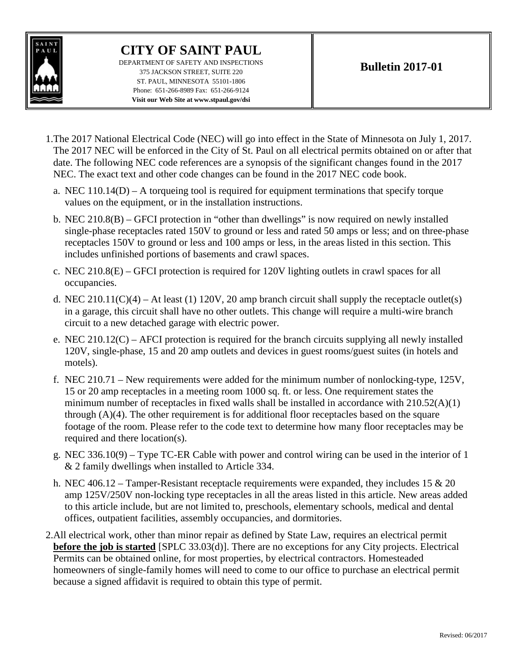

## **CITY OF SAINT PAUL**

DEPARTMENT OF SAFETY AND INSPECTIONS 375 JACKSON STREET, SUITE 220 ST. PAUL, MINNESOTA 55101-1806 Phone: 651-266-8989 Fax: 651-266-9124 **Visit our Web Site at www.stpaul.gov/dsi**

- 1.The 2017 National Electrical Code (NEC) will go into effect in the State of Minnesota on July 1, 2017. The 2017 NEC will be enforced in the City of St. Paul on all electrical permits obtained on or after that date. The following NEC code references are a synopsis of the significant changes found in the 2017 NEC. The exact text and other code changes can be found in the 2017 NEC code book.
	- a. NEC 110.14(D) A torqueing tool is required for equipment terminations that specify torque values on the equipment, or in the installation instructions.
	- b. NEC 210.8(B) GFCI protection in "other than dwellings" is now required on newly installed single-phase receptacles rated 150V to ground or less and rated 50 amps or less; and on three-phase receptacles 150V to ground or less and 100 amps or less, in the areas listed in this section. This includes unfinished portions of basements and crawl spaces.
	- c. NEC 210.8(E) GFCI protection is required for 120V lighting outlets in crawl spaces for all occupancies.
	- d. NEC 210.11(C)(4) At least (1) 120V, 20 amp branch circuit shall supply the receptacle outlet(s) in a garage, this circuit shall have no other outlets. This change will require a multi-wire branch circuit to a new detached garage with electric power.
	- e. NEC 210.12(C) AFCI protection is required for the branch circuits supplying all newly installed 120V, single-phase, 15 and 20 amp outlets and devices in guest rooms/guest suites (in hotels and motels).
	- f. NEC 210.71 New requirements were added for the minimum number of nonlocking-type, 125V, 15 or 20 amp receptacles in a meeting room 1000 sq. ft. or less. One requirement states the minimum number of receptacles in fixed walls shall be installed in accordance with  $210.52(A)(1)$ through (A)(4). The other requirement is for additional floor receptacles based on the square footage of the room. Please refer to the code text to determine how many floor receptacles may be required and there location(s).
	- g. NEC 336.10(9) Type TC-ER Cable with power and control wiring can be used in the interior of 1 & 2 family dwellings when installed to Article 334.
	- h. NEC 406.12 Tamper-Resistant receptacle requirements were expanded, they includes 15  $& 20$ amp 125V/250V non-locking type receptacles in all the areas listed in this article. New areas added to this article include, but are not limited to, preschools, elementary schools, medical and dental offices, outpatient facilities, assembly occupancies, and dormitories.
- 2.All electrical work, other than minor repair as defined by State Law, requires an electrical permit **before the job is started** [SPLC 33.03(d)]. There are no exceptions for any City projects. Electrical Permits can be obtained online, for most properties, by electrical contractors. Homesteaded homeowners of single-family homes will need to come to our office to purchase an electrical permit because a signed affidavit is required to obtain this type of permit.